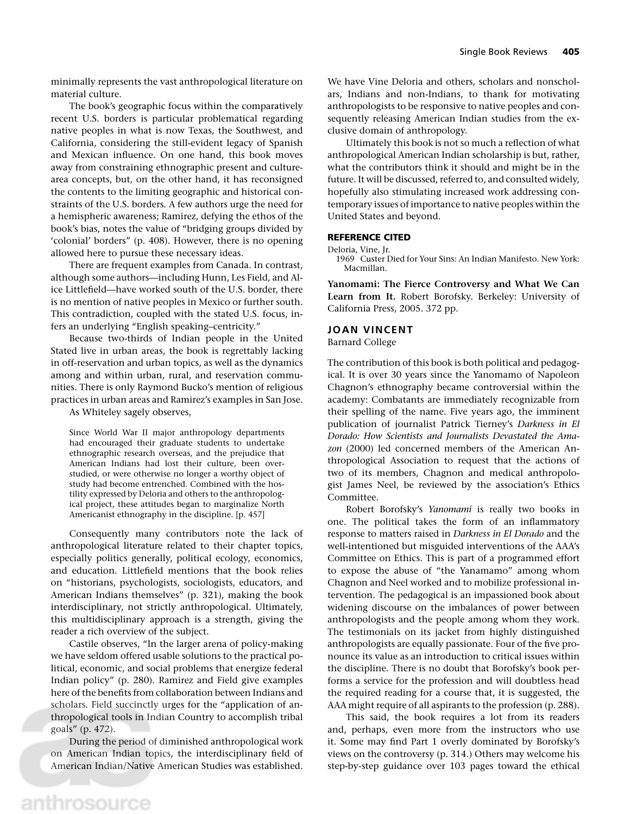minimally represents the vast anthropological literature on material culture.

The book's geographic focus within the comparatively recent U.S. borders is particular problematical regarding native peoples in what is now Texas, the Southwest, and California, considering the still-evident legacy of Spanish and Mexican influence. On one hand, this book moves away from constraining ethnographic present and culturearea concepts, but, on the other hand, it has reconsigned the contents to the limiting geographic and historical constraints of the U.S. borders. A few authors urge the need for a hemispheric awareness; Ramirez, defying the ethos of the book's bias, notes the value of "bridging groups divided by 'colonial' borders" (p. 408). However, there is no opening allowed here to pursue these necessary ideas.

There are frequent examples from Canada. In contrast, although some authors—including Hunn, Les Field, and Alice Littlefield—have worked south of the U.S. border, there is no mention of native peoples in Mexico or further south. This contradiction, coupled with the stated U.S. focus, infers an underlying "English speaking–centricity."

Because two-thirds of Indian people in the United Stated live in urban areas, the book is regrettably lacking in off-reservation and urban topics, as well as the dynamics among and within urban, rural, and reservation communities. There is only Raymond Bucko's mention of religious practices in urban areas and Ramirez's examples in San Jose.

As Whiteley sagely observes,

Since World War II major anthropology departments had encouraged their graduate students to undertake ethnographic research overseas, and the prejudice that American Indians had lost their culture, been overstudied, or were otherwise no longer a worthy object of study had become entrenched. Combined with the hostility expressed by Deloria and others to the anthropological project, these attitudes began to marginalize North Americanist ethnography in the discipline. [p. 457]

Consequently many contributors note the lack of anthropological literature related to their chapter topics, especially politics generally, political ecology, economics, and education. Littlefield mentions that the book relies on "historians, psychologists, sociologists, educators, and American Indians themselves" (p. 321), making the book interdisciplinary, not strictly anthropological. Ultimately, this multidisciplinary approach is a strength, giving the reader a rich overview of the subject.

Castile observes, "In the larger arena of policy-making we have seldom offered usable solutions to the practical political, economic, and social problems that energize federal Indian policy" (p. 280). Ramirez and Field give examples here of the benefits from collaboration between Indians and scholars. Field succinctly urges for the "application of anthropological tools in Indian Country to accomplish tribal goals" (p. 472).

During the period of diminished anthropological work on American Indian topics, the interdisciplinary field of American Indian/Native American Studies was established.

We have Vine Deloria and others, scholars and nonscholars, Indians and non-Indians, to thank for motivating anthropologists to be responsive to native peoples and consequently releasing American Indian studies from the exclusive domain of anthropology.

Ultimately this book is not so much a reflection of what anthropological American Indian scholarship is but, rather, what the contributors think it should and might be in the future. It will be discussed, referred to, and consulted widely, hopefully also stimulating increased work addressing contemporary issues of importance to native peoples within the United States and beyond.

## REFERENCE CITED

Deloria, Vine, Jr.

1969 Custer Died for Your Sins: An Indian Manifesto. New York: Macmillan.

**Yanomami: The Fierce Controversy and What We Can Learn from It.** Robert Borofsky. Berkeley: University of California Press, 2005. 372 pp.

## **JOAN VINCENT**

Barnard College

The contribution of this book is both political and pedagogical. It is over 30 years since the Yanomamo of Napoleon Chagnon's ethnography became controversial within the academy: Combatants are immediately recognizable from their spelling of the name. Five years ago, the imminent publication of journalist Patrick Tierney's *Darkness in El Dorado: How Scientists and Journalists Devastated the Amazon* (2000) led concerned members of the American Anthropological Association to request that the actions of two of its members, Chagnon and medical anthropologist James Neel, be reviewed by the association's Ethics Committee.

Robert Borofsky's *Yanomami* is really two books in one. The political takes the form of an inflammatory response to matters raised in *Darkness in El Dorado* and the well-intentioned but misguided interventions of the AAA's Committee on Ethics. This is part of a programmed effort to expose the abuse of "the Yanamamo" among whom Chagnon and Neel worked and to mobilize professional intervention. The pedagogical is an impassioned book about widening discourse on the imbalances of power between anthropologists and the people among whom they work. The testimonials on its jacket from highly distinguished anthropologists are equally passionate. Four of the five pronounce its value as an introduction to critical issues within the discipline. There is no doubt that Borofsky's book performs a service for the profession and will doubtless head the required reading for a course that, it is suggested, the AAA might require of all aspirants to the profession (p. 288).

This said, the book requires a lot from its readers and, perhaps, even more from the instructors who use it. Some may find Part 1 overly dominated by Borofsky's views on the controversy (p. 314.) Others may welcome his step-by-step guidance over 103 pages toward the ethical